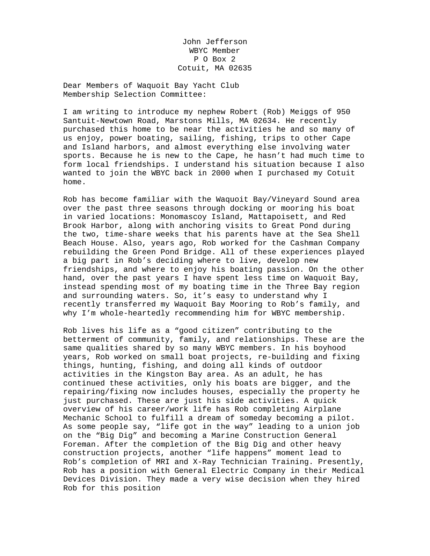John Jefferson WBYC Member P O Box 2 Cotuit, MA 02635

Dear Members of Waquoit Bay Yacht Club Membership Selection Committee:

I am writing to introduce my nephew Robert (Rob) Meiggs of 950 Santuit-Newtown Road, Marstons Mills, MA 02634. He recently purchased this home to be near the activities he and so many of us enjoy, power boating, sailing, fishing, trips to other Cape and Island harbors, and almost everything else involving water sports. Because he is new to the Cape, he hasn't had much time to form local friendships. I understand his situation because I also wanted to join the WBYC back in 2000 when I purchased my Cotuit home.

Rob has become familiar with the Waquoit Bay/Vineyard Sound area over the past three seasons through docking or mooring his boat in varied locations: Monomascoy Island, Mattapoisett, and Red Brook Harbor, along with anchoring visits to Great Pond during the two, time-share weeks that his parents have at the Sea Shell Beach House. Also, years ago, Rob worked for the Cashman Company rebuilding the Green Pond Bridge. All of these experiences played a big part in Rob's deciding where to live, develop new friendships, and where to enjoy his boating passion. On the other hand, over the past years I have spent less time on Waquoit Bay, instead spending most of my boating time in the Three Bay region and surrounding waters. So, it's easy to understand why I recently transferred my Waquoit Bay Mooring to Rob's family, and why I'm whole-heartedly recommending him for WBYC membership.

Rob lives his life as a "good citizen" contributing to the betterment of community, family, and relationships. These are the same qualities shared by so many WBYC members. In his boyhood years, Rob worked on small boat projects, re-building and fixing things, hunting, fishing, and doing all kinds of outdoor activities in the Kingston Bay area. As an adult, he has continued these activities, only his boats are bigger, and the repairing/fixing now includes houses, especially the property he just purchased. These are just his side activities. A quick overview of his career/work life has Rob completing Airplane Mechanic School to fulfill a dream of someday becoming a pilot. As some people say, "life got in the way" leading to a union job on the "Big Dig" and becoming a Marine Construction General Foreman. After the completion of the Big Dig and other heavy construction projects, another "life happens" moment lead to Rob's completion of MRI and X-Ray Technician Training. Presently, Rob has a position with General Electric Company in their Medical Devices Division. They made a very wise decision when they hired Rob for this position